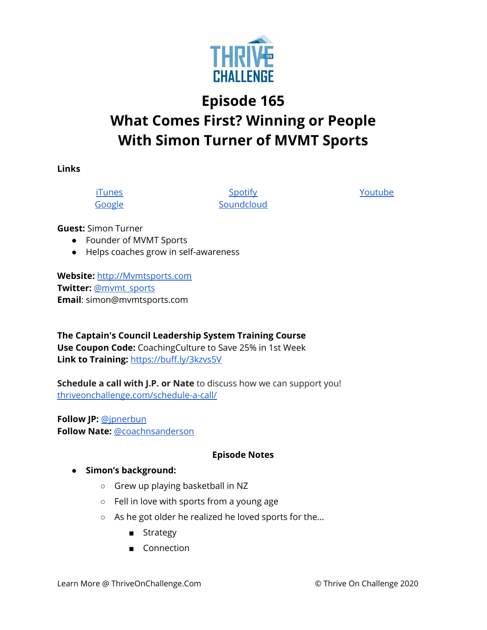

## **Episode 165 What Comes First? Winning or People With Simon Turner of MVMT Sports**

**Links**

[iTunes](https://podcasts.apple.com/us/podcast/coaching-culture/id1286560192) [Google](https://podcasts.google.com/feed/aHR0cHM6Ly9mZWVkcy5zb3VuZGNsb3VkLmNvbS91c2Vycy9zb3VuZGNsb3VkOnVzZXJzOjQxMDQyNzcvc291bmRzLnJzcw?ved=2ahUKEwiSpYquy9vqAhVbQUEAHSAkC88Q4aUDegQIARAC)

**[Spotify](https://open.spotify.com/show/336Hs8udk8s0yXuK3BzSOq) [Soundcloud](https://soundcloud.com/thriveonchallenge)**  [Youtube](https://www.youtube.com/channel/UC3vIljCBzwHcPyVIx9kiHvw)

**Guest:** Simon Turner

- Founder of MVMT Sports
- Helps coaches grow in self-awareness

**Website:** [http://Mvmtsports.com](http://mvmtsports.com/) **Twitter:** [@mvmt\\_sports](http://twitter.com/mvmt_sports) **Email**: simon@mvmtsports.com

**The Captain's Council Leadership System Training Course Use Coupon Code:** CoachingCulture to Save 25% in 1st Week **Link to Training:** <https://buff.ly/3kzvs5V>

**Schedule a call with J.P. or Nate** to discuss how we can support you! [thriveonchallenge.com/schedule-a-call/](http://thriveonchallenge.com/schedule-a-call/)

**Follow JP:** [@jpnerbun](http://twitter.com/jpnerbun) **Follow Nate:** [@coachnsanderson](http://twitter.com/coachnsanderson)

## **Episode Notes**

## **● Simon's background:**

- Grew up playing basketball in NZ
- Fell in love with sports from a young age
- As he got older he realized he loved sports for the…
	- Strategy
	- Connection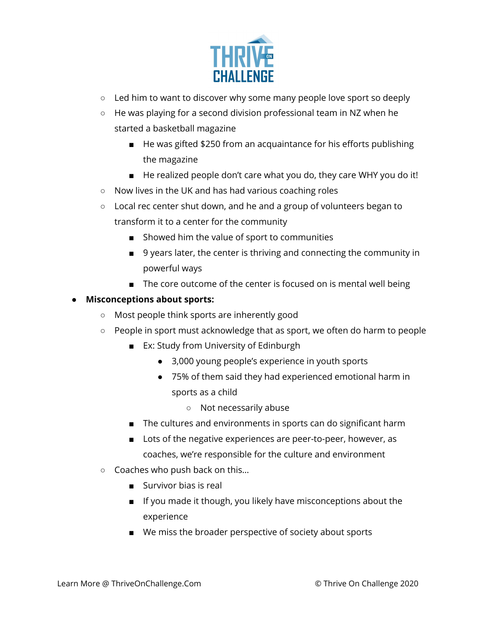

- $\circ$  Led him to want to discover why some many people love sport so deeply
- He was playing for a second division professional team in NZ when he started a basketball magazine
	- He was gifted \$250 from an acquaintance for his efforts publishing the magazine
	- He realized people don't care what you do, they care WHY you do it!
- Now lives in the UK and has had various coaching roles
- Local rec center shut down, and he and a group of volunteers began to transform it to a center for the community
	- Showed him the value of sport to communities
	- 9 years later, the center is thriving and connecting the community in powerful ways
	- The core outcome of the center is focused on is mental well being
- **● Misconceptions about sports:**
	- Most people think sports are inherently good
	- People in sport must acknowledge that as sport, we often do harm to people
		- Ex: Study from University of Edinburgh
			- 3,000 young people's experience in youth sports
			- 75% of them said they had experienced emotional harm in sports as a child
				- Not necessarily abuse
		- The cultures and environments in sports can do significant harm
		- Lots of the negative experiences are peer-to-peer, however, as coaches, we're responsible for the culture and environment
	- Coaches who push back on this…
		- Survivor bias is real
		- If you made it though, you likely have misconceptions about the experience
		- We miss the broader perspective of society about sports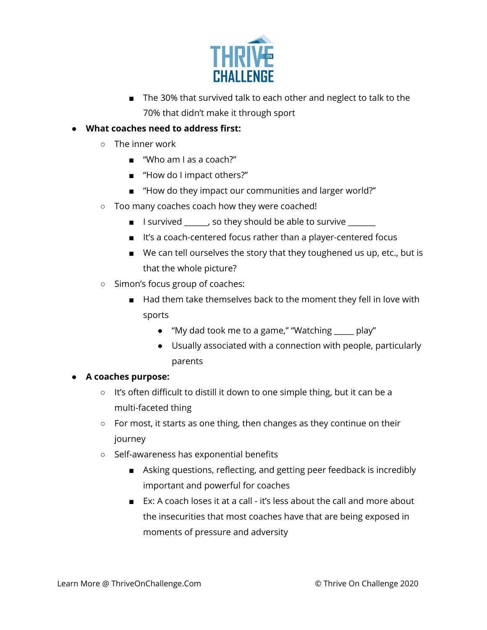

- The 30% that survived talk to each other and neglect to talk to the 70% that didn't make it through sport
- **● What coaches need to address first:**
	- The inner work
		- "Who am I as a coach?"
		- "How do I impact others?"
		- "How do they impact our communities and larger world?"
	- Too many coaches coach how they were coached!
		- I survived \_\_\_\_\_\_, so they should be able to survive \_\_\_\_\_\_
		- It's a coach-centered focus rather than a player-centered focus
		- We can tell ourselves the story that they toughened us up, etc., but is that the whole picture?
	- Simon's focus group of coaches:
		- Had them take themselves back to the moment they fell in love with sports
			- "My dad took me to a game," "Watching \_\_\_\_\_ play"
			- Usually associated with a connection with people, particularly parents

## **● A coaches purpose:**

- It's often difficult to distill it down to one simple thing, but it can be a multi-faceted thing
- For most, it starts as one thing, then changes as they continue on their journey
- Self-awareness has exponential benefits
	- Asking questions, reflecting, and getting peer feedback is incredibly important and powerful for coaches
	- Ex: A coach loses it at a call it's less about the call and more about the insecurities that most coaches have that are being exposed in moments of pressure and adversity